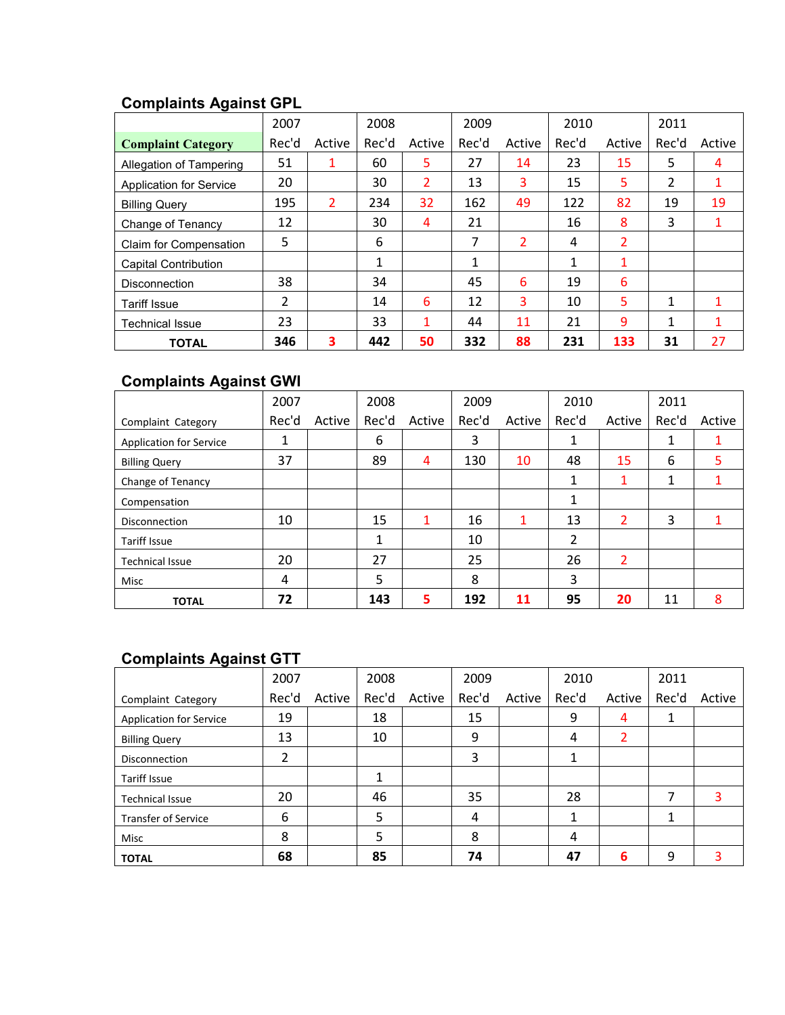# **Complaints Against GPL**

|                             | 2007  |        | 2008  |                | 2009  |        | 2010  |                | 2011           |        |
|-----------------------------|-------|--------|-------|----------------|-------|--------|-------|----------------|----------------|--------|
| <b>Complaint Category</b>   | Rec'd | Active | Rec'd | Active         | Rec'd | Active | Rec'd | Active         | Rec'd          | Active |
| Allegation of Tampering     | 51    | 1      | 60    | 5              | 27    | 14     | 23    | 15             | 5              | 4      |
| Application for Service     | 20    |        | 30    | $\overline{2}$ | 13    | 3      | 15    | 5              | $\overline{2}$ | 1      |
| <b>Billing Query</b>        | 195   | 2      | 234   | 32             | 162   | 49     | 122   | 82             | 19             | 19     |
| Change of Tenancy           | 12    |        | 30    | 4              | 21    |        | 16    | 8              | 3              | 1      |
| Claim for Compensation      | 5     |        | 6     |                | 7     | 2      | 4     | $\overline{2}$ |                |        |
| <b>Capital Contribution</b> |       |        | 1     |                | 1     |        | 1     | 1              |                |        |
| <b>Disconnection</b>        | 38    |        | 34    |                | 45    | 6      | 19    | 6              |                |        |
| <b>Tariff Issue</b>         | 2     |        | 14    | 6              | 12    | 3      | 10    | 5              | 1              | 1      |
| Technical Issue             | 23    |        | 33    | 1              | 44    | 11     | 21    | 9              | 1              | 1      |
| <b>TOTAL</b>                | 346   | 3      | 442   | 50             | 332   | 88     | 231   | 133            | 31             | 27     |

## **Complaints Against GWI**

|                                | 2007  |        | 2008         |        | 2009  |        | 2010  |        | 2011  |        |
|--------------------------------|-------|--------|--------------|--------|-------|--------|-------|--------|-------|--------|
| Complaint Category             | Rec'd | Active | Rec'd        | Active | Rec'd | Active | Rec'd | Active | Rec'd | Active |
| <b>Application for Service</b> | 1     |        | 6            |        | 3     |        | 1     |        | 1     |        |
| <b>Billing Query</b>           | 37    |        | 89           | 4      | 130   | 10     | 48    | 15     | 6     | 5      |
| Change of Tenancy              |       |        |              |        |       |        | 1     |        | 1     |        |
| Compensation                   |       |        |              |        |       |        | 1     |        |       |        |
| <b>Disconnection</b>           | 10    |        | 15           | 1      | 16    | 1      | 13    | 2      | 3     |        |
| <b>Tariff Issue</b>            |       |        | $\mathbf{1}$ |        | 10    |        | 2     |        |       |        |
| <b>Technical Issue</b>         | 20    |        | 27           |        | 25    |        | 26    | 2      |       |        |
| Misc                           | 4     |        | 5            |        | 8     |        | 3     |        |       |        |
| <b>TOTAL</b>                   | 72    |        | 143          | 5      | 192   | 11     | 95    | 20     | 11    | 8      |

## **Complaints Against GTT**

|                                | 2007  |        | 2008  |        | 2009  |        | 2010  |        | 2011  |        |
|--------------------------------|-------|--------|-------|--------|-------|--------|-------|--------|-------|--------|
| Complaint Category             | Rec'd | Active | Rec'd | Active | Rec'd | Active | Rec'd | Active | Rec'd | Active |
| <b>Application for Service</b> | 19    |        | 18    |        | 15    |        | 9     | 4      |       |        |
| <b>Billing Query</b>           | 13    |        | 10    |        | 9     |        | 4     | 2      |       |        |
| <b>Disconnection</b>           | 2     |        |       |        | 3     |        |       |        |       |        |
| <b>Tariff Issue</b>            |       |        | 1     |        |       |        |       |        |       |        |
| <b>Technical Issue</b>         | 20    |        | 46    |        | 35    |        | 28    |        | 7     | 3      |
| <b>Transfer of Service</b>     | 6     |        | 5     |        | 4     |        |       |        |       |        |
| Misc                           | 8     |        | 5     |        | 8     |        | 4     |        |       |        |
| <b>TOTAL</b>                   | 68    |        | 85    |        | 74    |        | 47    | 6      | 9     | 3      |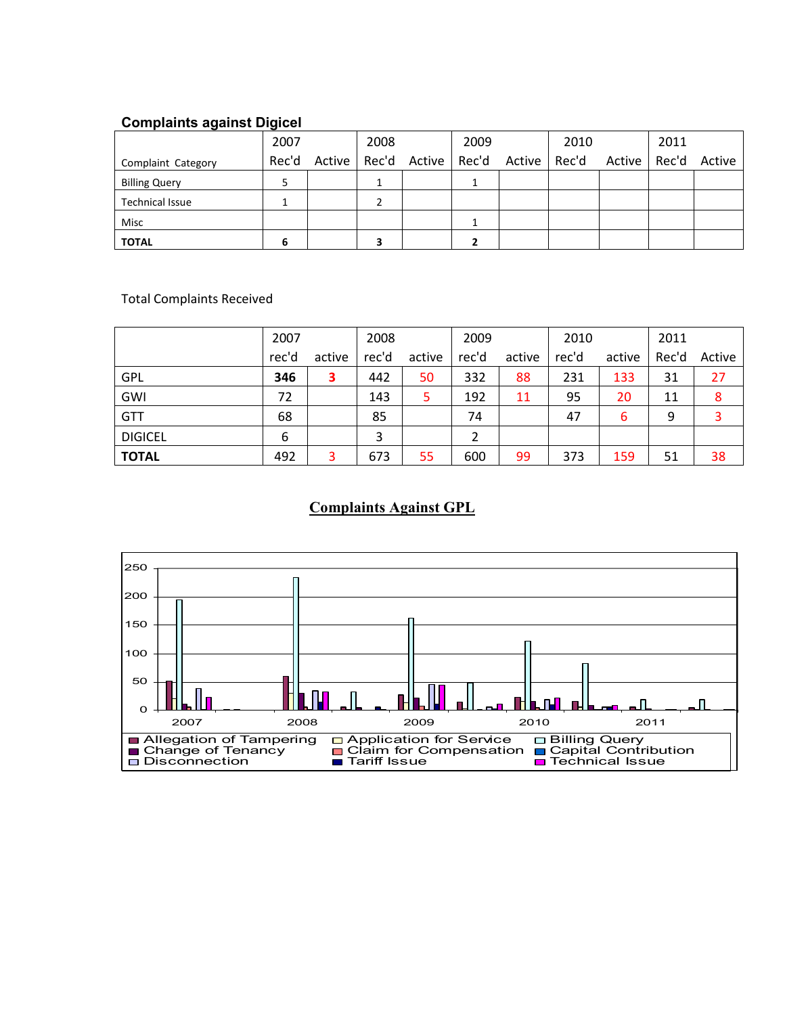#### **Complaints against Digicel**

|                        | 2007  | 2008 |                       | 2009 |                    | 2010 |        | 2011  |        |
|------------------------|-------|------|-----------------------|------|--------------------|------|--------|-------|--------|
| Complaint Category     | Rec'd |      | Active   Rec'd Active |      | Rec'd Active Rec'd |      | Active | Rec'd | Active |
| <b>Billing Query</b>   |       |      |                       |      |                    |      |        |       |        |
| <b>Technical Issue</b> |       |      |                       |      |                    |      |        |       |        |
| Misc                   |       |      |                       |      |                    |      |        |       |        |
| <b>TOTAL</b>           |       |      |                       |      |                    |      |        |       |        |

Total Complaints Received

|                | 2007  |        | 2008  |        | 2009  |        | 2010  |        | 2011  |        |
|----------------|-------|--------|-------|--------|-------|--------|-------|--------|-------|--------|
|                | rec'd | active | rec'd | active | rec'd | active | rec'd | active | Rec'd | Active |
| <b>GPL</b>     | 346   | 3      | 442   | 50     | 332   | 88     | 231   | 133    | 31    | 27     |
| GWI            | 72    |        | 143   | 5      | 192   | 11     | 95    | 20     | 11    | 8      |
| <b>GTT</b>     | 68    |        | 85    |        | 74    |        | 47    | 6      | 9     | 3      |
| <b>DIGICEL</b> | 6     |        | 3     |        |       |        |       |        |       |        |
| <b>TOTAL</b>   | 492   | 3      | 673   | 55     | 600   | 99     | 373   | 159    | 51    | 38     |

#### **Complaints Against GPL**

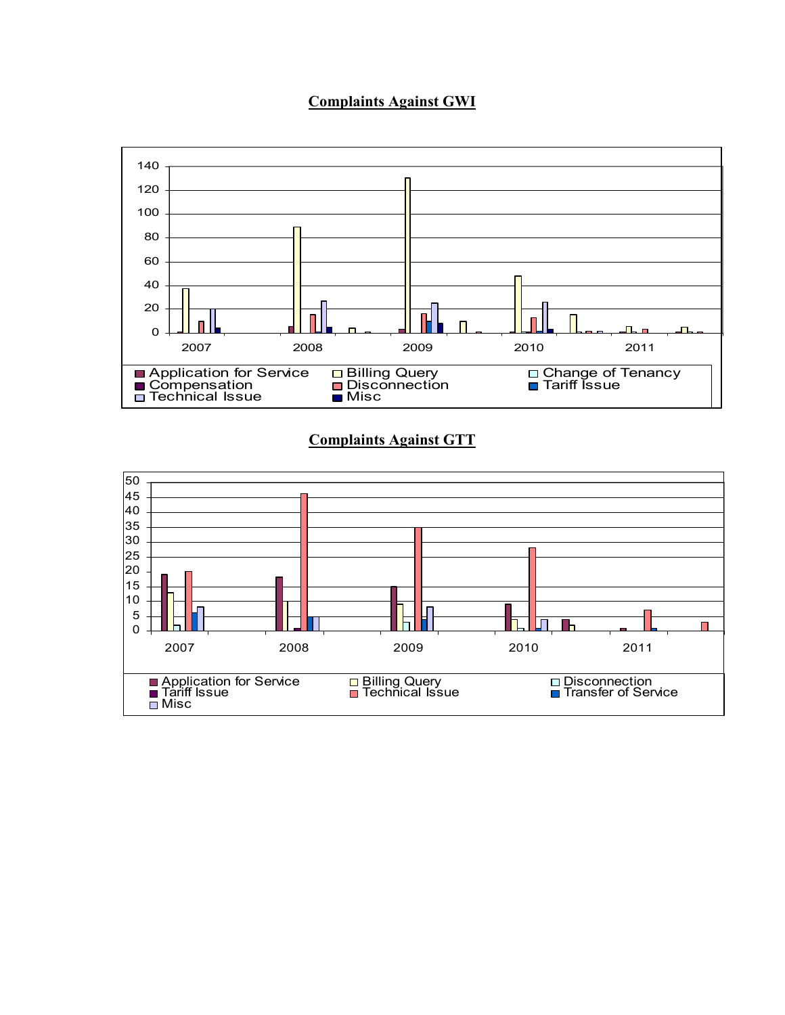#### **Complaints Against GWI**



#### **Complaints Against GTT**